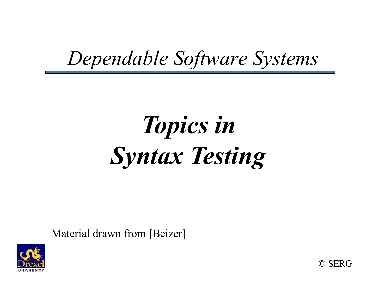#### *Dependable Software Systems*

# *Topics in Syntax Testing*

Material drawn from [Beizer]



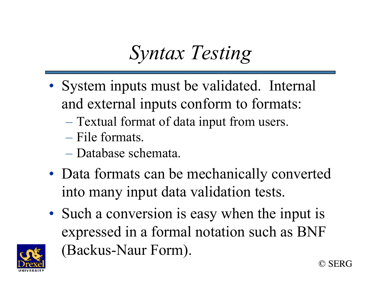### *Syntax Testing*

- System inputs must be validated. Internal and external inputs conform to formats:
	- Textual format of data input from users.
	- File formats.
	- Database schemata.
- Data formats can be mechanically converted into many input data validation tests.
- Such a conversion is easy when the input is expressed in a formal notation such as BNF (Backus-Naur Form).

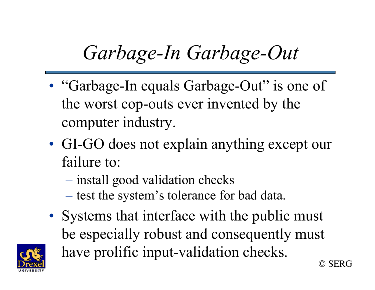# *Garbage-In Garbage-Out*

- "Garbage-In equals Garbage-Out" is one of the worst cop-outs ever invented by the computer industry.
- GI-GO does not explain anything except our failure to:
	- install good validation checks
	- test the system's tolerance for bad data.
- © SERG • Systems that interface with the public must be especially robust and consequently must have prolific input-validation checks.

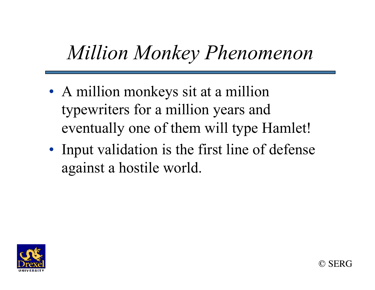### *Million Monkey Phenomenon*

- A million monkeys sit at a million typewriters for a million years and eventually one of them will type Hamlet!
- Input validation is the first line of defense against a hostile world.



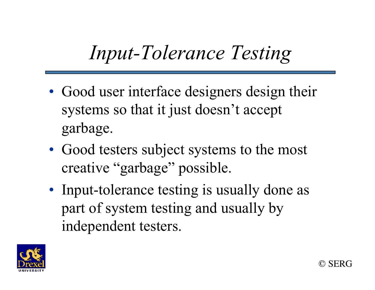### *Input-Tolerance Testing*

- Good user interface designers design their systems so that it just doesn't accept garbage.
- Good testers subject systems to the most creative "garbage" possible.
- Input-tolerance testing is usually done as part of system testing and usually by independent testers.



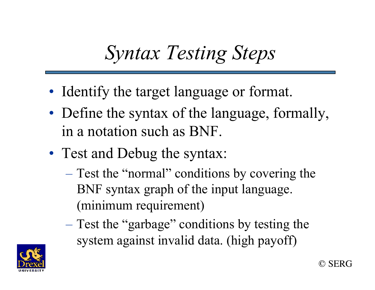### *Syntax Testing Steps*

- Identify the target language or format.
- Define the syntax of the language, formally, in a notation such as BNF.
- Test and Debug the syntax:
	- Test the "normal" conditions by covering the BNF syntax graph of the input language. (minimum requirement)
	- Test the "garbage" conditions by testing the system against invalid data. (high payoff)

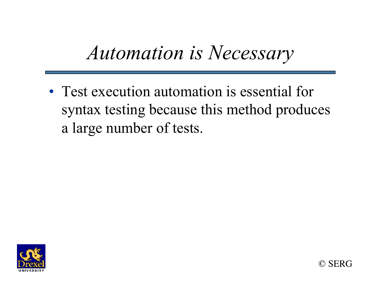#### *Automation is Necessary*

• Test execution automation is essential for syntax testing because this method produces a large number of tests.



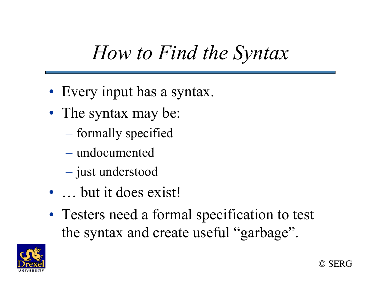#### *How to Find the Syntax*

- Every input has a syntax.
- The syntax may be:
	- formally specified
	- undocumented
	- just understood
- ... but it does exist!
- Testers need a formal specification to test the syntax and create useful "garbage".

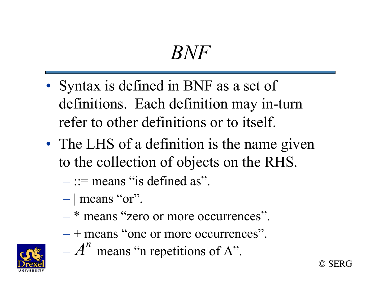#### *BNF*

- Syntax is defined in BNF as a set of definitions. Each definition may in-turn refer to other definitions or to itself.
- The LHS of a definition is the name given to the collection of objects on the RHS.
	- $::=$  means "is defined as".
	- $-$  | means "or".
	- \* means "zero or more occurrences".
	- + means "one or more occurrences".

© SERG

 $- A<sup>n</sup>$  means "n repetitions of A".

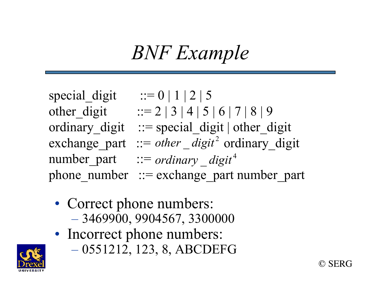### *BNF Example*

special digit  $::= 0 | 1 | 2 | 5$ other digit ::= 2 | 3 | 4 | 5 | 6 | 7 | 8 | 9 ordinary digit ::= special digit | other digit  $\text{exchange}_{\text{part}}$  ::= *other* \_ *digit*<sup>2</sup> ordinary digit number\_part ::= *ordinary* \_ *digit*<sup>4</sup> phone number  $::=$  exchange part number part

- Correct phone numbers: – 3469900, 9904567, 3300000
- Incorrect phone numbers:
	- 0551212, 123, 8, ABCDEFG

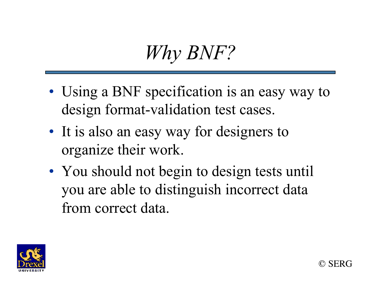

- Using a BNF specification is an easy way to design format-validation test cases.
- It is also an easy way for designers to organize their work.
- You should not begin to design tests until you are able to distinguish incorrect data from correct data.

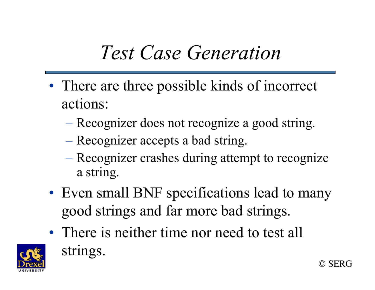#### *Test Case Generation*

- There are three possible kinds of incorrect actions:
	- Recognizer does not recognize a good string.
	- Recognizer accepts a bad string.
	- Recognizer crashes during attempt to recognize a string.
- Even small BNF specifications lead to many good strings and far more bad strings.

© SERG

• There is neither time nor need to test all strings.

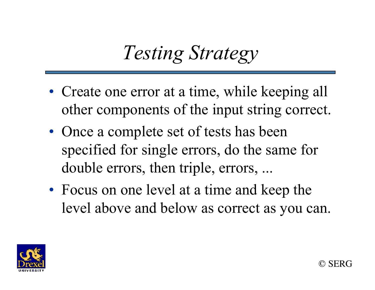### *Testing Strategy*

- Create one error at a time, while keeping all other components of the input string correct.
- Once a complete set of tests has been specified for single errors, do the same for double errors, then triple, errors, ...
- Focus on one level at a time and keep the level above and below as correct as you can.

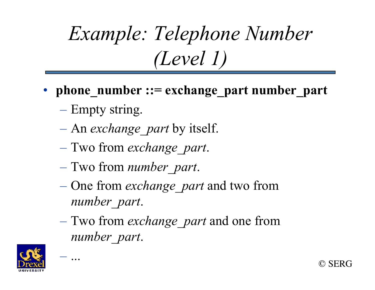# *Example: Telephone Number (Level 1)*

- **phone** number ::= exchange part number part
	- Empty string.
	- An *exchange\_part* by itself.
	- Two from *exchange\_part*.
	- Two from *number\_part*.
	- One from *exchange\_part* and two from *number\_part*.
	- Two from *exchange\_part* and one from *number\_part*.

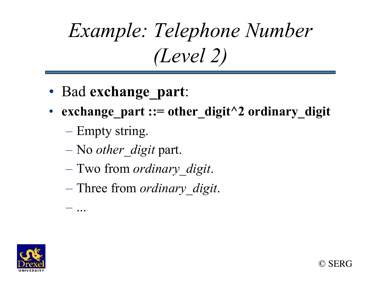# *Example: Telephone Number (Level 2)*

- Bad **exchange\_part**:
- **exchange** part ::= other digit<sup> $\wedge$ 2 ordinary digit</sup>

© SERG

– Empty string.

- No *other\_digit* part.
- Two from *ordinary\_digit*.
- Three from *ordinary\_digit*.

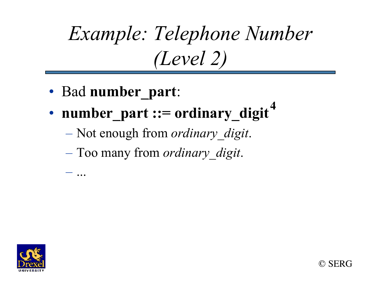# *Example: Telephone Number (Level 2)*

• Bad **number\_part**:

- **number\_part ::= ordinary\_digit 4**
	- Not enough from *ordinary\_digit*.
	- Too many from *ordinary\_digit*.

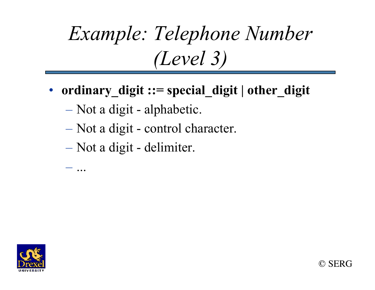# *Example: Telephone Number (Level 3)*

- **ordinary** digit ::= special digit | other digit
	- Not a digit alphabetic.
	- Not a digit control character.
	- Not a digit delimiter.

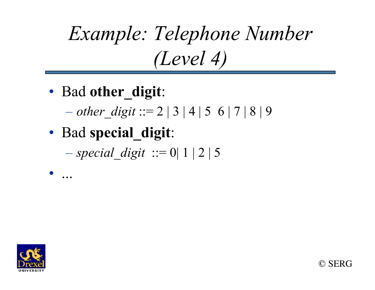# *Example: Telephone Number (Level 4)*

- Bad **other\_digit**:
	- $-$  *other* digit ::= 2 | 3 | 4 | 5 6 | 7 | 8 | 9
- Bad **special\_digit**:

 $-$  *special digit* ::= 0| 1 | 2 | 5



• ...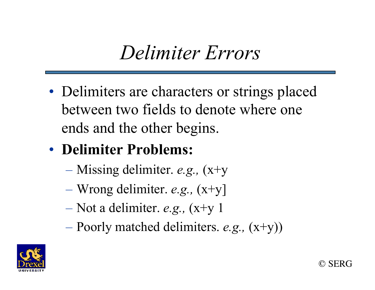#### *Delimiter Errors*

- Delimiters are characters or strings placed between two fields to denote where one ends and the other begins.
- **Delimiter Problems:**
	- Missing delimiter. *e.g.,* (x+y
	- Wrong delimiter. *e.g.,* (x+y]
	- Not a delimiter. *e.g.,* (x+y 1
	- Poorly matched delimiters. *e.g.,* (x+y))



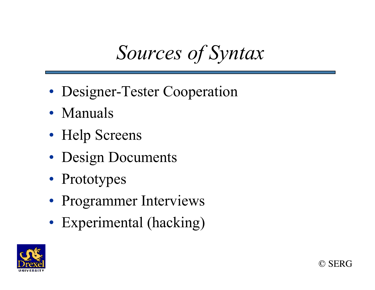### *Sources of Syntax*

- Designer-Tester Cooperation
- Manuals
- Help Screens
- Design Documents
- Prototypes
- Programmer Interviews
- Experimental (hacking)



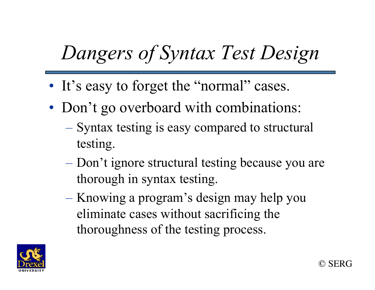# *Dangers of Syntax Test Design*

- It's easy to forget the "normal" cases.
- Don't go overboard with combinations:
	- Syntax testing is easy compared to structural testing.
	- Don't ignore structural testing because you are thorough in syntax testing.
	- Knowing a program's design may help you eliminate cases without sacrificing the thoroughness of the testing process.

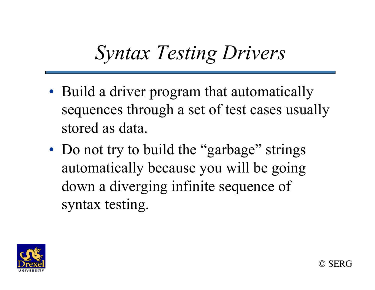### *Syntax Testing Drivers*

- Build a driver program that automatically sequences through a set of test cases usually stored as data.
- Do not try to build the "garbage" strings automatically because you will be going down a diverging infinite sequence of syntax testing.

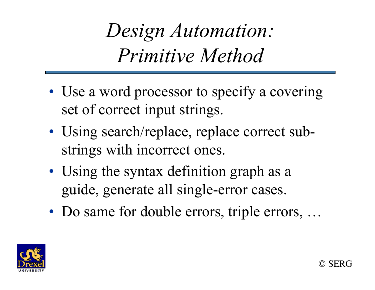*Design Automation: Primitive Method* 

- Use a word processor to specify a covering set of correct input strings.
- Using search/replace, replace correct substrings with incorrect ones.
- Using the syntax definition graph as a guide, generate all single-error cases.
- Do same for double errors, triple errors, ...

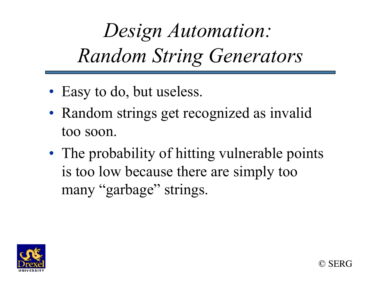*Design Automation: Random String Generators* 

- Easy to do, but useless.
- Random strings get recognized as invalid too soon.
- The probability of hitting vulnerable points is too low because there are simply too many "garbage" strings.

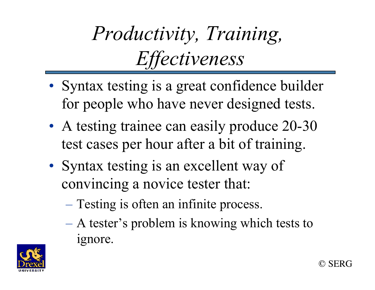# *Productivity, Training, Effectiveness*

- Syntax testing is a great confidence builder for people who have never designed tests.
- A testing trainee can easily produce 20-30 test cases per hour after a bit of training.
- Syntax testing is an excellent way of convincing a novice tester that:
	- Testing is often an infinite process.
	- A tester's problem is knowing which tests to ignore.

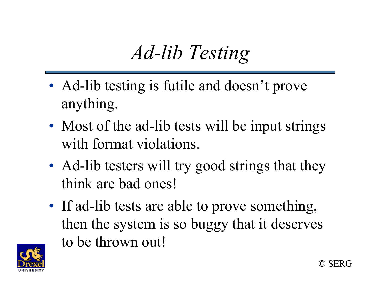## *Ad-lib Testing*

- Ad-lib testing is futile and doesn't prove anything.
- Most of the ad-lib tests will be input strings with format violations.
- Ad-lib testers will try good strings that they think are bad ones!
- If ad-lib tests are able to prove something, then the system is so buggy that it deserves to be thrown out!

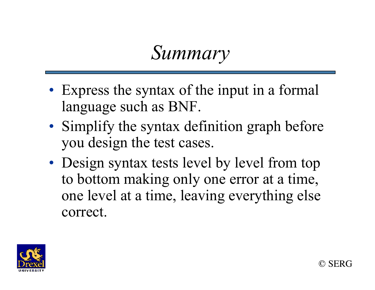#### *Summary*

- Express the syntax of the input in a formal language such as BNF.
- Simplify the syntax definition graph before you design the test cases.
- Design syntax tests level by level from top to bottom making only one error at a time, one level at a time, leaving everything else correct.